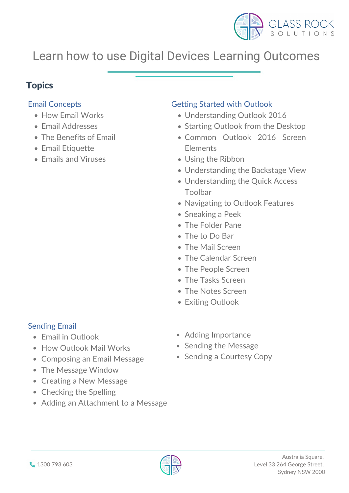

 $\mathcal{M}_{\text{max}}$ 

WORKINGINTHE CLOUDS

- The Tasks Screen
- The Notes Screen
- Exiting Outlook





#### I earning Outon LOUITING VULOC Learn how to use Digital Devices Learning Outcomes

# Email Concepts

- How Email Works
- Email Addresses
- The Benefits of Email
- Email Etiquette
- Emails and Viruses

#### Solith Outlook **Getting Started with Outlook**

- $\frac{1}{2}$  $\frac{1016}{2016}$ anuing Uutioon 2010 Understanding Outlook 2016
- $\sim$  Unucrotationity Utilium 2010 GROUGHT COMMON COMMON COMMON COMMON SERVICE 36<br>Common Common Common Common Starting Outlook from the Desktop
- Starting Outlook from the Desk<br>Common Outlook 2016 Scr Elements uts and the set of the set of the set of the set of the set of the set of the set of the set of the set of the Common Outlook 2016 Screen
- Using the Ribbon
- Understanding the Backstage View
- Understanding the Quick Access Toolbar
- Navigating to Outlook Features
- **Sneaking a Peek**
- The Folder Pane
- The to Do Bar
- The Mail Screen
- The Calendar Screen

# • The People Screen

# Sending Email

- Email in Outlook
- How Outlook Mail Works
- Composing an Email Message  $\bullet$
- The Message Window
- Creating a New Message
- Checking the Spelling
- Adding an Attachment to a Message
- $M_{\text{N}}$ Adding Importance
- Sending the Message
- Sending a Courtesy Copy

# Topics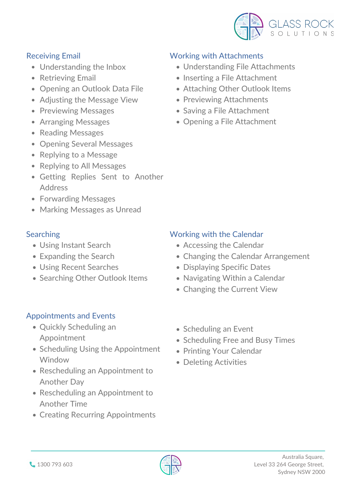



- Using Instant Search
- Expanding the Search

# Working with Attachments

- Understanding File Attachments
- Inserting a File Attachment
- Attaching Other Outlook Items
- Previewing Attachments
- Saving a File Attachment
- Opening a File Attachment

# Searching

- Quickly Scheduling an Appointment
- Scheduling Using the Appointment **Window**
- Rescheduling an Appointment to Another Day
- Rescheduling an Appointment to Another Time
- Creating Recurring Appointments
- Scheduling an Event
- Scheduling Free and Busy Times
- Printing Your Calendar
- Deleting Activities
- Accessing the Calendar
- Changing the Calendar Arrangement

- Using Recent Searches
- Searching Other Outlook Items
- Displaying Specific Dates
- Navigating Within a Calendar
- Changing the Current View

# Working with the Calendar



# Receiving Email

- Understanding the Inbox
- Retrieving Email
- Opening an Outlook Data File
- Adjusting the Message View
- Previewing Messages
- Arranging Messages
- Reading Messages
- Opening Several Messages
- Replying to a Message
- Replying to All Messages
- Getting Replies Sent to Another Address
- Forwarding Messages
- Marking Messages as Unread

# Appointments and Events